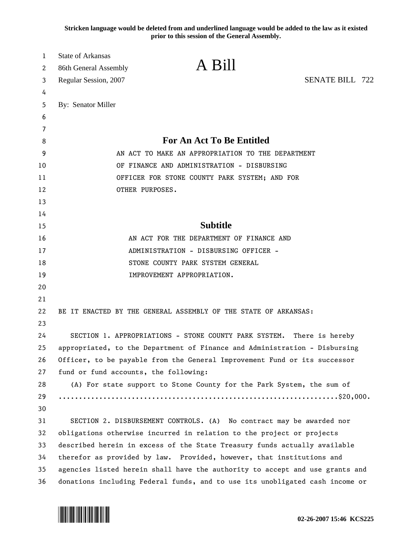**Stricken language would be deleted from and underlined language would be added to the law as it existed prior to this session of the General Assembly.**

| A Bill<br>86th General Assembly<br>2<br><b>SENATE BILL 722</b><br>Regular Session, 2007<br>3<br>4<br>By: Senator Miller<br>5<br>6<br>7<br>For An Act To Be Entitled<br>8<br>AN ACT TO MAKE AN APPROPRIATION TO THE DEPARTMENT<br>9<br>10<br>OF FINANCE AND ADMINISTRATION - DISBURSING<br>11<br>OFFICER FOR STONE COUNTY PARK SYSTEM; AND FOR<br>12<br>OTHER PURPOSES.<br>13<br>14<br><b>Subtitle</b><br>15<br>16<br>AN ACT FOR THE DEPARTMENT OF FINANCE AND |  |
|---------------------------------------------------------------------------------------------------------------------------------------------------------------------------------------------------------------------------------------------------------------------------------------------------------------------------------------------------------------------------------------------------------------------------------------------------------------|--|
|                                                                                                                                                                                                                                                                                                                                                                                                                                                               |  |
|                                                                                                                                                                                                                                                                                                                                                                                                                                                               |  |
|                                                                                                                                                                                                                                                                                                                                                                                                                                                               |  |
|                                                                                                                                                                                                                                                                                                                                                                                                                                                               |  |
|                                                                                                                                                                                                                                                                                                                                                                                                                                                               |  |
|                                                                                                                                                                                                                                                                                                                                                                                                                                                               |  |
|                                                                                                                                                                                                                                                                                                                                                                                                                                                               |  |
|                                                                                                                                                                                                                                                                                                                                                                                                                                                               |  |
|                                                                                                                                                                                                                                                                                                                                                                                                                                                               |  |
|                                                                                                                                                                                                                                                                                                                                                                                                                                                               |  |
|                                                                                                                                                                                                                                                                                                                                                                                                                                                               |  |
|                                                                                                                                                                                                                                                                                                                                                                                                                                                               |  |
|                                                                                                                                                                                                                                                                                                                                                                                                                                                               |  |
|                                                                                                                                                                                                                                                                                                                                                                                                                                                               |  |
|                                                                                                                                                                                                                                                                                                                                                                                                                                                               |  |
| 17<br>ADMINISTRATION - DISBURSING OFFICER -                                                                                                                                                                                                                                                                                                                                                                                                                   |  |
| 18<br>STONE COUNTY PARK SYSTEM GENERAL                                                                                                                                                                                                                                                                                                                                                                                                                        |  |
| 19<br>IMPROVEMENT APPROPRIATION.                                                                                                                                                                                                                                                                                                                                                                                                                              |  |
| 20                                                                                                                                                                                                                                                                                                                                                                                                                                                            |  |
| 21                                                                                                                                                                                                                                                                                                                                                                                                                                                            |  |
| 22<br>BE IT ENACTED BY THE GENERAL ASSEMBLY OF THE STATE OF ARKANSAS:                                                                                                                                                                                                                                                                                                                                                                                         |  |
| 23                                                                                                                                                                                                                                                                                                                                                                                                                                                            |  |
| 24<br>SECTION 1. APPROPRIATIONS - STONE COUNTY PARK SYSTEM. There is hereby                                                                                                                                                                                                                                                                                                                                                                                   |  |
| 25<br>appropriated, to the Department of Finance and Administration - Disbursing                                                                                                                                                                                                                                                                                                                                                                              |  |
| 26<br>Officer, to be payable from the General Improvement Fund or its successor                                                                                                                                                                                                                                                                                                                                                                               |  |
| 27<br>fund or fund accounts, the following:                                                                                                                                                                                                                                                                                                                                                                                                                   |  |
| 28<br>(A) For state support to Stone County for the Park System, the sum of                                                                                                                                                                                                                                                                                                                                                                                   |  |
| 29                                                                                                                                                                                                                                                                                                                                                                                                                                                            |  |
| 30                                                                                                                                                                                                                                                                                                                                                                                                                                                            |  |
| SECTION 2. DISBURSEMENT CONTROLS. (A) No contract may be awarded nor<br>31                                                                                                                                                                                                                                                                                                                                                                                    |  |
| 32<br>obligations otherwise incurred in relation to the project or projects                                                                                                                                                                                                                                                                                                                                                                                   |  |
| 33<br>described herein in excess of the State Treasury funds actually available<br>34                                                                                                                                                                                                                                                                                                                                                                         |  |
| therefor as provided by law. Provided, however, that institutions and<br>35<br>agencies listed herein shall have the authority to accept and use grants and                                                                                                                                                                                                                                                                                                   |  |
| 36<br>donations including Federal funds, and to use its unobligated cash income or                                                                                                                                                                                                                                                                                                                                                                            |  |